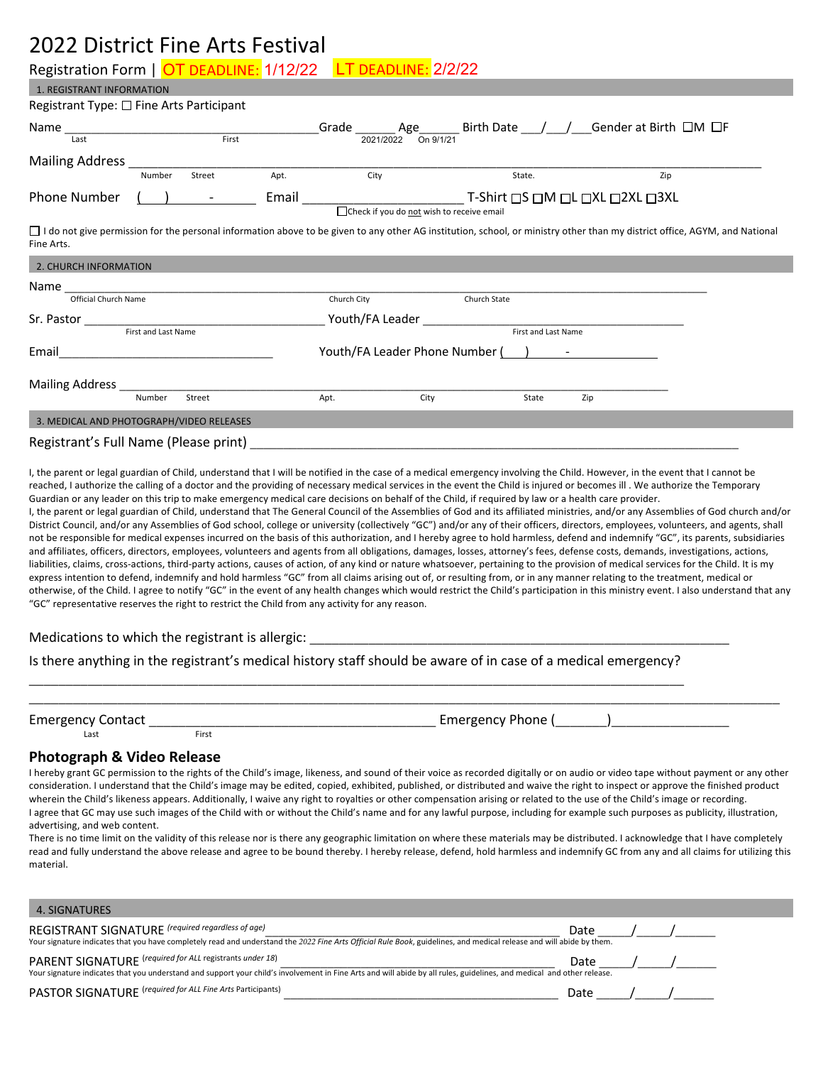# 2022 District Fine Arts Festival

 $1.05007811707017707$ 

Registration Form | <mark>OT DEADLINE:</mark> 1/12/22 LT DEADLINE: 2/2/22

| <b>I. KEGISTRANT INFORMATION</b>                                                                                                                                                                              |                                                          |        |      |                                                         |      |              |                     |     |     |  |
|---------------------------------------------------------------------------------------------------------------------------------------------------------------------------------------------------------------|----------------------------------------------------------|--------|------|---------------------------------------------------------|------|--------------|---------------------|-----|-----|--|
| Registrant Type: $\square$ Fine Arts Participant                                                                                                                                                              |                                                          |        |      |                                                         |      |              |                     |     |     |  |
| Name $\frac{1}{\text{Last}}$ Grave $\frac{1}{\text{First}}$ Grade $\frac{\text{Area}}{2021/2022}$ $\frac{\text{Age}}{\text{On }9/1/21}$ Birth Date $\frac{1}{\text{first}}$ Gender at Birth $\Box$ M $\Box$ F |                                                          |        |      |                                                         |      |              |                     |     |     |  |
| Mailing Address <b>Mailing</b> Address <b>Mailing</b> Address <b>Management</b>                                                                                                                               |                                                          |        |      |                                                         |      |              |                     |     |     |  |
|                                                                                                                                                                                                               | Number                                                   | Street | Apt. | City                                                    |      |              | State.              |     | Zip |  |
| Phone Number                                                                                                                                                                                                  | $($ ) $-$<br>□ Check if you do not wish to receive email |        |      |                                                         |      |              |                     |     |     |  |
| □ I do not give permission for the personal information above to be given to any other AG institution, school, or ministry other than my district office, AGYM, and National<br>Fine Arts.                    |                                                          |        |      |                                                         |      |              |                     |     |     |  |
| 2. CHURCH INFORMATION                                                                                                                                                                                         |                                                          |        |      |                                                         |      |              |                     |     |     |  |
|                                                                                                                                                                                                               |                                                          |        |      |                                                         |      |              |                     |     |     |  |
| Official Church Name                                                                                                                                                                                          |                                                          |        |      | Church City                                             |      | Church State |                     |     |     |  |
| Sr. Pastor and the state of the state of the state of the state of the state of the state of the state of the                                                                                                 |                                                          |        |      |                                                         |      |              |                     |     |     |  |
| First and Last Name                                                                                                                                                                                           |                                                          |        |      |                                                         |      |              | First and Last Name |     |     |  |
| Email                                                                                                                                                                                                         | <u> 1980 - Jan Barbara (j. 1980)</u>                     |        |      | Youth/FA Leader Phone Number () - The Tourist Countries |      |              |                     |     |     |  |
| Mailing Address ______________                                                                                                                                                                                |                                                          |        |      |                                                         |      |              |                     |     |     |  |
|                                                                                                                                                                                                               | Number                                                   | Street |      | Apt.                                                    | City |              | State               | Zip |     |  |
| 3. MEDICAL AND PHOTOGRAPH/VIDEO RELEASES                                                                                                                                                                      |                                                          |        |      |                                                         |      |              |                     |     |     |  |
| Registrant's Full Name (Please print)                                                                                                                                                                         |                                                          |        |      |                                                         |      |              |                     |     |     |  |

I, the parent or legal guardian of Child, understand that I will be notified in the case of a medical emergency involving the Child. However, in the event that I cannot be reached, I authorize the calling of a doctor and the providing of necessary medical services in the event the Child is injured or becomes ill . We authorize the Temporary Guardian or any leader on this trip to make emergency medical care decisions on behalf of the Child, if required by law or a health care provider. I, the parent or legal guardian of Child, understand that The General Council of the Assemblies of God and its affiliated ministries, and/or any Assemblies of God church and/or District Council, and/or any Assemblies of God school, college or university (collectively "GC") and/or any of their officers, directors, employees, volunteers, and agents, shall not be responsible for medical expenses incurred on the basis of this authorization, and I hereby agree to hold harmless, defend and indemnify "GC", its parents, subsidiaries and affiliates, officers, directors, employees, volunteers and agents from all obligations, damages, losses, attorney's fees, defense costs, demands, investigations, actions, liabilities, claims, cross-actions, third-party actions, causes of action, of any kind or nature whatsoever, pertaining to the provision of medical services for the Child. It is my express intention to defend, indemnify and hold harmless "GC" from all claims arising out of, or resulting from, or in any manner relating to the treatment, medical or otherwise, of the Child. I agree to notify "GC" in the event of any health changes which would restrict the Child's participation in this ministry event. I also understand that any "GC" representative reserves the right to restrict the Child from any activity for any reason.

Medications to which the registrant is allergic:

Is there anything in the registrant's medical history staff should be aware of in case of a medical emergency? \_\_\_\_\_\_\_\_\_\_\_\_\_\_\_\_\_\_\_\_\_\_\_\_\_\_\_\_\_\_\_\_\_\_\_\_\_\_\_\_\_\_\_\_\_\_\_\_\_\_\_\_\_\_\_\_\_\_\_\_\_\_\_\_\_\_\_\_\_\_\_\_\_\_\_\_\_\_\_\_\_\_\_\_\_\_\_\_\_

| Emergency<br><b>Contact</b> |       | Emergenc<br>rione . |
|-----------------------------|-------|---------------------|
| Last                        | First |                     |

### **Photograph & Video Release**

I hereby grant GC permission to the rights of the Child's image, likeness, and sound of their voice as recorded digitally or on audio or video tape without payment or any other consideration. I understand that the Child's image may be edited, copied, exhibited, published, or distributed and waive the right to inspect or approve the finished product wherein the Child's likeness appears. Additionally, I waive any right to royalties or other compensation arising or related to the use of the Child's image or recording. I agree that GC may use such images of the Child with or without the Child's name and for any lawful purpose, including for example such purposes as publicity, illustration, advertising, and web content.

There is no time limit on the validity of this release nor is there any geographic limitation on where these materials may be distributed. I acknowledge that I have completely read and fully understand the above release and agree to be bound thereby. I hereby release, defend, hold harmless and indemnify GC from any and all claims for utilizing this material.

| 4. SIGNATURES                                                                                                                                                                                                                      |      |  |
|------------------------------------------------------------------------------------------------------------------------------------------------------------------------------------------------------------------------------------|------|--|
| REGISTRANT SIGNATURE (required regardless of age)<br>Your signature indicates that you have completely read and understand the 2022 Fine Arts Official Rule Book, guidelines, and medical release and will abide by them.          | Date |  |
| PARENT SIGNATURE (required for ALL registrants under 18)<br>Your signature indicates that you understand and support your child's involvement in Fine Arts and will abide by all rules, guidelines, and medical and other release. | Date |  |
| PASTOR SIGNATURE (required for ALL Fine Arts Participants)                                                                                                                                                                         | Date |  |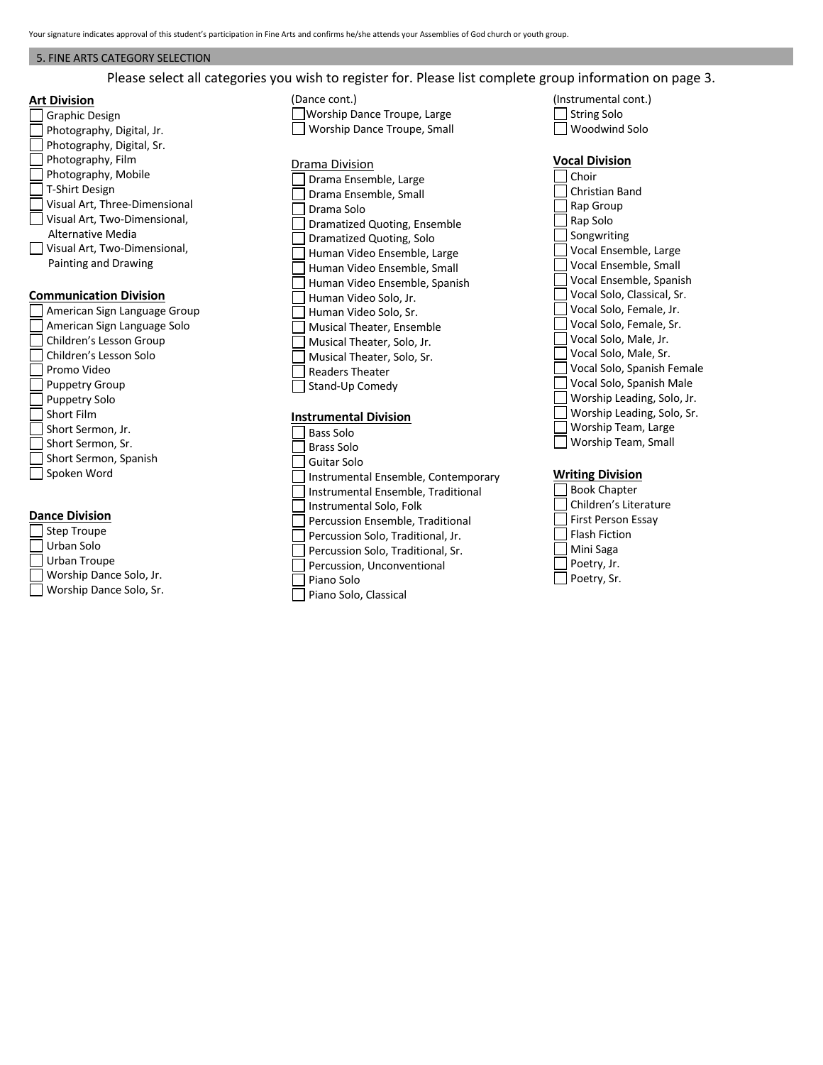### 5. FINE ARTS CATEGORY SELECTION

Please select all categories you wish to register for. Please list complete group information on page 3.

# **Art Division**

| ווטוכועוש וו                  |  |  |  |  |  |
|-------------------------------|--|--|--|--|--|
| <b>Graphic Design</b>         |  |  |  |  |  |
| Photography, Digital, Jr.     |  |  |  |  |  |
| Photography, Digital, Sr.     |  |  |  |  |  |
| Photography, Film             |  |  |  |  |  |
| Photography, Mobile           |  |  |  |  |  |
| T-Shirt Design                |  |  |  |  |  |
| Visual Art, Three-Dimensional |  |  |  |  |  |
| Visual Art, Two-Dimensional,  |  |  |  |  |  |
| Alternative Media             |  |  |  |  |  |
| Visual Art, Two-Dimensional,  |  |  |  |  |  |
| Painting and Drawing          |  |  |  |  |  |
|                               |  |  |  |  |  |
|                               |  |  |  |  |  |
| <b>Communication Division</b> |  |  |  |  |  |
| American Sign Language Group  |  |  |  |  |  |
| American Sign Language Solo   |  |  |  |  |  |
| Children's Lesson Group       |  |  |  |  |  |
| Children's Lesson Solo        |  |  |  |  |  |
| Promo Video                   |  |  |  |  |  |
| <b>Puppetry Group</b>         |  |  |  |  |  |
| <b>Puppetry Solo</b>          |  |  |  |  |  |
| <b>Short Film</b>             |  |  |  |  |  |
| Short Sermon, Jr.             |  |  |  |  |  |
| Short Sermon, Sr.             |  |  |  |  |  |
| Short Sermon, Spanish         |  |  |  |  |  |

# **Dance Division**

| Worship Dance Solo, Jr. |
|-------------------------|
| Worship Dance Solo, Sr. |
|                         |

# (Dance cont.) Worship Dance Troupe, Large Worship Dance Troupe, Small

### Drama Division

Drama Ensemble, Large Drama Ensemble, Small Drama Solo Dramatized Quoting, Ensemble Dramatized Quoting, Solo Human Video Ensemble, Large Human Video Ensemble, Small Human Video Ensemble, Spanish Human Video Solo, Jr. Human Video Solo, Sr. Musical Theater, Ensemble Musical Theater, Solo, Jr. Musical Theater, Solo, Sr. Readers Theater  $\Box$  Stand-Up Comedy

#### **Instrumental Division**

Bass Solo Brass Solo Guitar Solo Instrumental Ensemble, Contemporary Instrumental Ensemble, Traditional Instrumental Solo, Folk Percussion Ensemble, Traditional Percussion Solo, Traditional, Jr. Percussion Solo, Traditional, Sr. Percussion, Unconventional Piano Solo Piano Solo, Classical

- (Instrumental cont.) String Solo
- Woodwind Solo

# **Vocal Division**

Choir Christian Band Rap Group Rap Solo Songwriting Vocal Ensemble, Large Vocal Ensemble, Small Vocal Ensemble, Spanish Vocal Solo, Classical, Sr. Vocal Solo, Female, Jr. Vocal Solo, Female, Sr. Vocal Solo, Male, Jr. Vocal Solo, Male, Sr. Vocal Solo, Spanish Female Vocal Solo, Spanish Male Worship Leading, Solo, Jr.  $\square$  Worship Leading, Solo, Sr. Worship Team, Large Worship Team, Small

### **Writing Division**

□ Book Chapter Children's Literature Children's Literatu<br>
First Person Essay  $\Box$  Flash Fiction Mini Saga Poetry, Jr. Poetry, Sr.